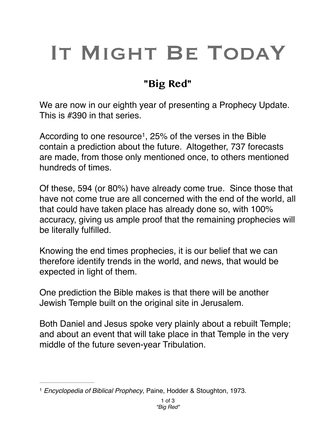## IT MIGHT BE TODAY

## **"Big Red"**

We are now in our eighth year of presenting a Prophecy Update. This is #390 in that series.

According to one resource<sup>1</sup>, 25% of the verses in the Bible contain a prediction about the future. Altogether, 737 forecasts are made, from those only mentioned once, to others mentioned hundreds of times.

Of these, 594 (or 80%) have already come true. Since those that have not come true are all concerned with the end of the world, all that could have taken place has already done so, with 100% accuracy, giving us ample proof that the remaining prophecies will be literally fulfilled.

Knowing the end times prophecies, it is our belief that we can therefore identify trends in the world, and news, that would be expected in light of them.

One prediction the Bible makes is that there will be another Jewish Temple built on the original site in Jerusalem.

Both Daniel and Jesus spoke very plainly about a rebuilt Temple; and about an event that will take place in that Temple in the very middle of the future seven-year Tribulation.

<sup>&</sup>lt;sup>1</sup> Encyclopedia of Biblical Prophecy, Paine, Hodder & Stoughton, 1973.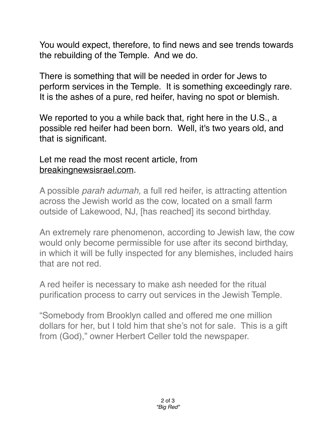You would expect, therefore, to find news and see trends towards the rebuilding of the Temple. And we do.

There is something that will be needed in order for Jews to perform services in the Temple. It is something exceedingly rare. It is the ashes of a pure, red heifer, having no spot or blemish.

We reported to you a while back that, right here in the U.S., a possible red heifer had been born. Well, it's two years old, and that is significant.

## Let me read the most recent article, from [breakingnewsisrael.com.](http://breakingnewsisrael.com)

A possible *parah adumah,* a full red heifer, is attracting attention across the Jewish world as the cow, located on a small farm outside of Lakewood, NJ, [has reached] its second birthday.

An extremely rare phenomenon, according to Jewish law, the cow would only become permissible for use after its second birthday, in which it will be fully inspected for any blemishes, included hairs that are not red.

A red heifer is necessary to make ash needed for the ritual purification process to carry out services in the Jewish Temple.

"Somebody from Brooklyn called and offered me one million dollars for her, but I told him that she's not for sale. This is a gift from (God)," owner Herbert Celler told the newspaper.